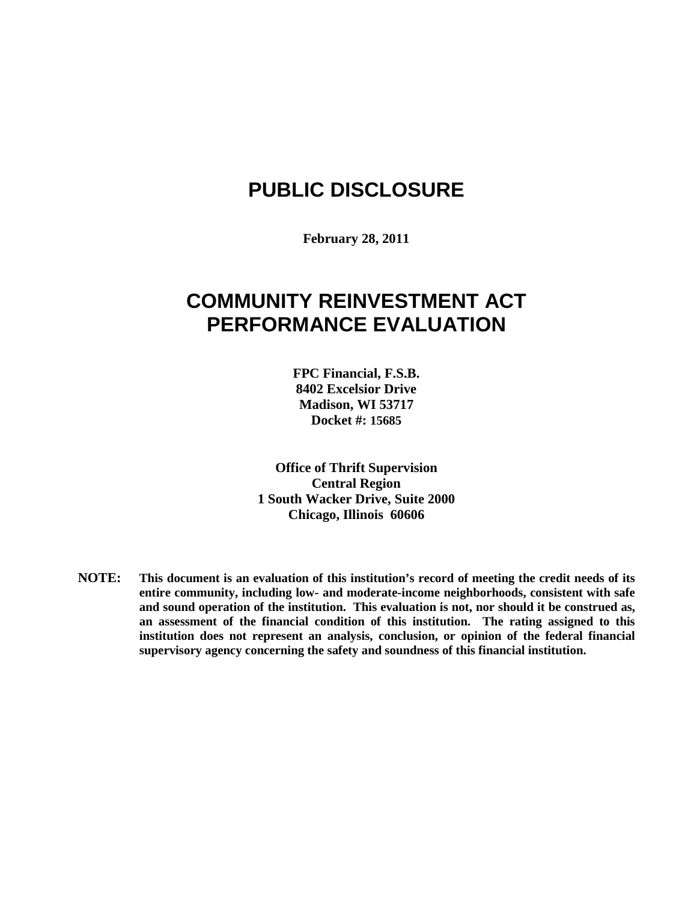# **PUBLIC DISCLOSURE**

**February 28, 2011**

# **COMMUNITY REINVESTMENT ACT PERFORMANCE EVALUATION**

**FPC Financial, F.S.B. 8402 Excelsior Drive Madison, WI 53717 Docket #: 15685**

**Office of Thrift Supervision Central Region 1 South Wacker Drive, Suite 2000 Chicago, Illinois 60606**

**NOTE: This document is an evaluation of this institution's record of meeting the credit needs of its entire community, including low- and moderate-income neighborhoods, consistent with safe and sound operation of the institution. This evaluation is not, nor should it be construed as, an assessment of the financial condition of this institution. The rating assigned to this institution does not represent an analysis, conclusion, or opinion of the federal financial supervisory agency concerning the safety and soundness of this financial institution.**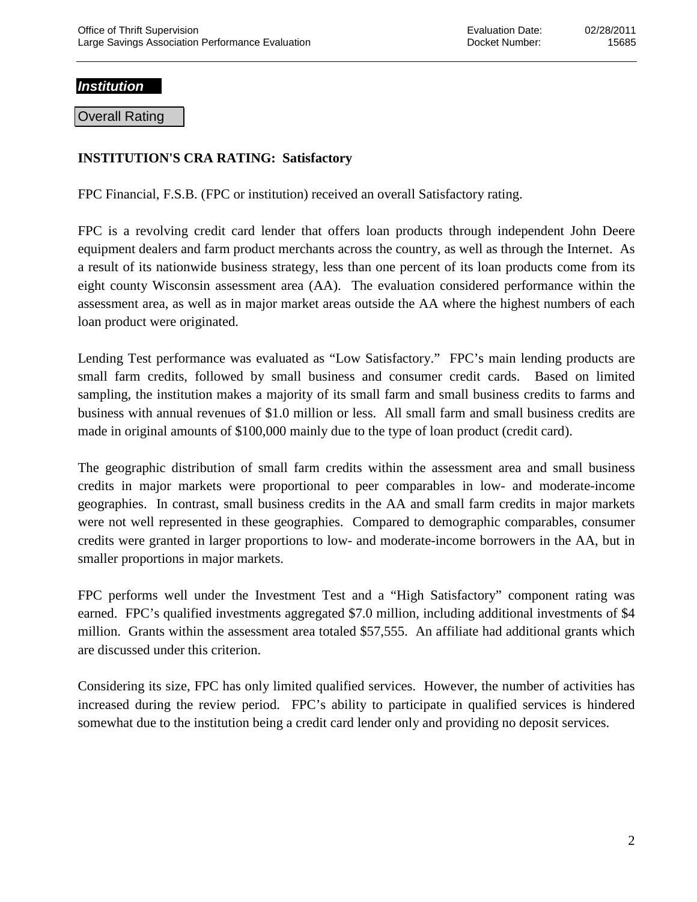## *Institution*

Overall Rating

## **INSTITUTION'S CRA RATING: Satisfactory**

FPC Financial, F.S.B. (FPC or institution) received an overall Satisfactory rating.

FPC is a revolving credit card lender that offers loan products through independent John Deere equipment dealers and farm product merchants across the country, as well as through the Internet. As a result of its nationwide business strategy, less than one percent of its loan products come from its eight county Wisconsin assessment area (AA). The evaluation considered performance within the assessment area, as well as in major market areas outside the AA where the highest numbers of each loan product were originated.

Lending Test performance was evaluated as "Low Satisfactory." FPC's main lending products are small farm credits, followed by small business and consumer credit cards. Based on limited sampling, the institution makes a majority of its small farm and small business credits to farms and business with annual revenues of \$1.0 million or less. All small farm and small business credits are made in original amounts of \$100,000 mainly due to the type of loan product (credit card).

The geographic distribution of small farm credits within the assessment area and small business credits in major markets were proportional to peer comparables in low- and moderate-income geographies. In contrast, small business credits in the AA and small farm credits in major markets were not well represented in these geographies. Compared to demographic comparables, consumer credits were granted in larger proportions to low- and moderate-income borrowers in the AA, but in smaller proportions in major markets.

FPC performs well under the Investment Test and a "High Satisfactory" component rating was earned. FPC's qualified investments aggregated \$7.0 million, including additional investments of \$4 million. Grants within the assessment area totaled \$57,555. An affiliate had additional grants which are discussed under this criterion.

Considering its size, FPC has only limited qualified services. However, the number of activities has increased during the review period. FPC's ability to participate in qualified services is hindered somewhat due to the institution being a credit card lender only and providing no deposit services.